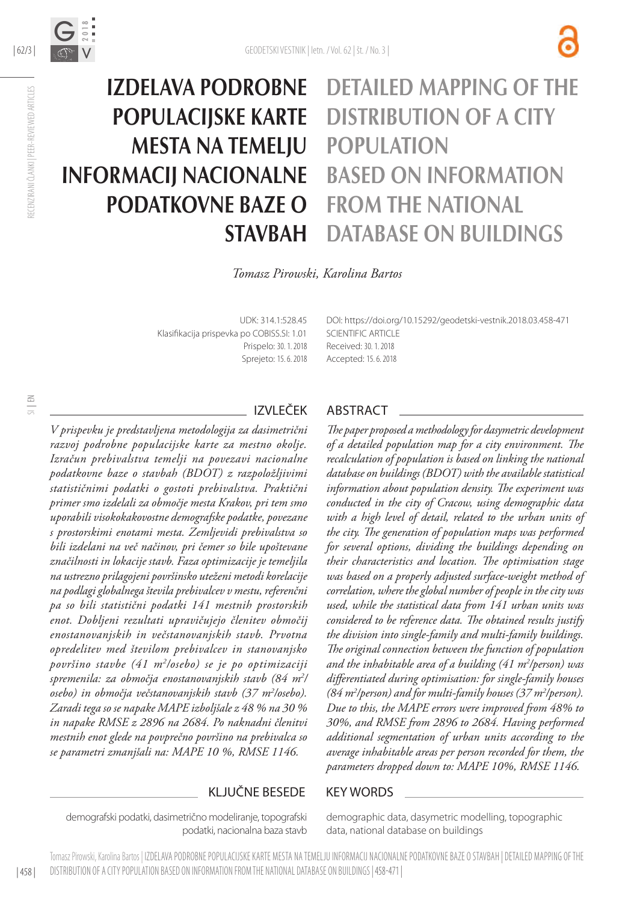

# Izdelava podrobne populacijske karte mesta na temelju informacij nacionalne podatkovne baze o **STAVBAH**

# Detailed mapping of the distribution of a city **POPULATION** based on information FROM THE NATIONAL database on buildings

*Tomasz Pirowski, Karolina Bartos*

UDK: 314.1:528.45 Klasifikacija prispevka po COBISS.SI: 1.01 Prispelo: 30. 1. 2018 Sprejeto: 15. 6. 2018 DOI: https://doi.org/10.1529[2/geodetski-vestnik.2018.03.](http://dx.doi.org/10.15292/geodetski-vestnik.2017.03.373-386)458-471 SCIENTIFIC ARTICLE Received: 30. 1. 2018 Accepted: 15. 6. 2018

# SI | EN

RECENZIRANI ČLANKI | PEER-REVIEWED ARTICLES

RECENZIRANI ČLANKI | PEER-REVIEWED ARTICLES

*V prispevku je predstavljena metodologija za dasimetrični razvoj podrobne populacijske karte za mestno okolje. Izračun prebivalstva temelji na povezavi nacionalne podatkovne baze o stavbah (BDOT) z razpoložljivimi statističnimi podatki o gostoti prebivalstva. Praktični primer smo izdelali za območje mesta Krakov, pri tem smo uporabili visokokakovostne demografske podatke, povezane s prostorskimi enotami mesta. Zemljevidi prebivalstva so bili izdelani na več načinov, pri čemer so bile upoštevane značilnosti in lokacije stavb. Faza optimizacije je temeljila na ustrezno prilagojeni površinsko uteženi metodi korelacije na podlagi globalnega števila prebivalcev v mestu, referenčni pa so bili statistični podatki 141 mestnih prostorskih enot. Dobljeni rezultati upravičujejo členitev območij enostanovanjskih in večstanovanjskih stavb. Prvotna opredelitev med številom prebivalcev in stanovanjsko površino stavbe (41 m2 /osebo) se je po optimizaciji spremenila: za območja enostanovanjskih stavb (84 m2 / osebo) in območja večstanovanjskih stavb (37 m2 /osebo). Zaradi tega so se napake MAPE izboljšale z 48 % na 30 % in napake RMSE z 2896 na 2684. Po naknadni členitvi mestnih enot glede na povprečno površino na prebivalca so se parametri zmanjšali na: MAPE 10 %, RMSE 1146.*

#### IZVLEČEK ABSTRACT

*The paper proposed a methodology for dasymetric development of a detailed population map for a city environment. The recalculation of population is based on linking the national database on buildings (BDOT) with the available statistical information about population density. The experiment was conducted in the city of Cracow, using demographic data with a high level of detail, related to the urban units of the city. The generation of population maps was performed for several options, dividing the buildings depending on their characteristics and location. The optimisation stage was based on a properly adjusted surface-weight method of correlation, where the global number of people in the city was used, while the statistical data from 141 urban units was considered to be reference data. The obtained results justify the division into single-family and multi-family buildings. The original connection between the function of population and the inhabitable area of a building (41 m2 /person) was differentiated during optimisation: for single-family houses*  (84 m<sup>2</sup>/person) and for multi-family houses (37 m<sup>2</sup>/person). *Due to this, the MAPE errors were improved from 48% to 30%, and RMSE from 2896 to 2684. Having performed additional segmentation of urban units according to the average inhabitable areas per person recorded for them, the parameters dropped down to: MAPE 10%, RMSE 1146.*

#### KLJUČNE BESEDE KEY WORDS

demografski podatki, dasimetrično modeliranje, topografski podatki, nacionalna baza stavb

demographic data, dasymetric modelling, topographic data, national database on buildings

| 458 | Tomasz Pirowski, Karolina Bartos | IZDELAVA PODROBNE POPULACIJSKE KARTE MESTA NA TEMELJU INFORMACIJ NACIONALNE PODATKOVNE BAZE O STAVBAH | DETAILED MAPPING OF THE DISTRIBUTION OF A CITY POPULATION BASED ON INFORMATION FROM THE NATIONAL DATABASE ON BUILDINGS | 458-471 |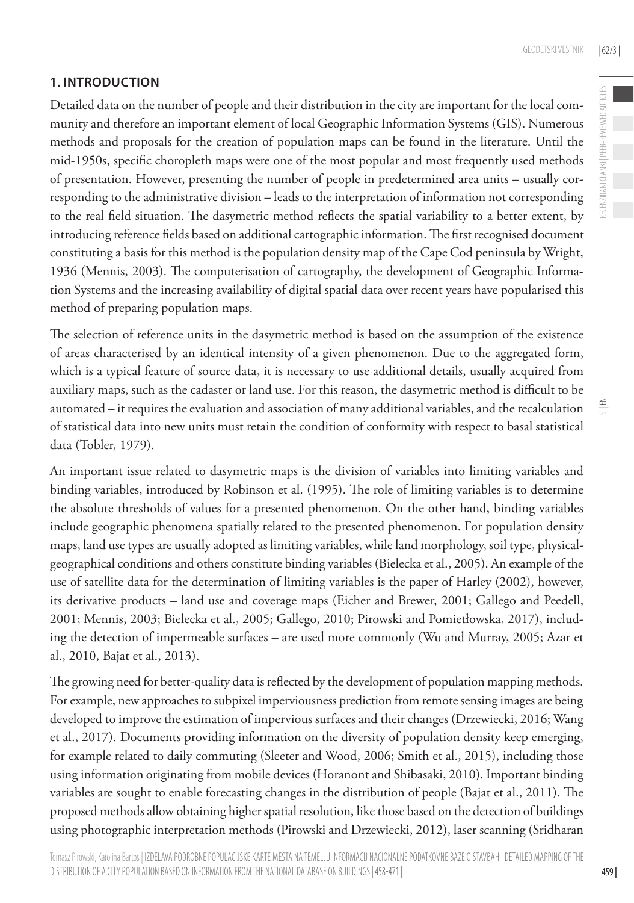## **1. INTRODUCTION**

Detailed data on the number of people and their distribution in the city are important for the local community and therefore an important element of local Geographic Information Systems (GIS). Numerous methods and proposals for the creation of population maps can be found in the literature. Until the mid-1950s, specific choropleth maps were one of the most popular and most frequently used methods of presentation. However, presenting the number of people in predetermined area units – usually corresponding to the administrative division – leads to the interpretation of information not corresponding to the real field situation. The dasymetric method reflects the spatial variability to a better extent, by introducing reference fields based on additional cartographic information. The first recognised document constituting a basis for this method is the population density map of the Cape Cod peninsula by Wright, 1936 (Mennis, 2003). The computerisation of cartography, the development of Geographic Information Systems and the increasing availability of digital spatial data over recent years have popularised this method of preparing population maps.

The selection of reference units in the dasymetric method is based on the assumption of the existence of areas characterised by an identical intensity of a given phenomenon. Due to the aggregated form, which is a typical feature of source data, it is necessary to use additional details, usually acquired from auxiliary maps, such as the cadaster or land use. For this reason, the dasymetric method is difficult to be automated – it requires the evaluation and association of many additional variables, and the recalculation of statistical data into new units must retain the condition of conformity with respect to basal statistical data (Tobler, 1979).

An important issue related to dasymetric maps is the division of variables into limiting variables and binding variables, introduced by Robinson et al. (1995). The role of limiting variables is to determine the absolute thresholds of values for a presented phenomenon. On the other hand, binding variables include geographic phenomena spatially related to the presented phenomenon. For population density maps, land use types are usually adopted as limiting variables, while land morphology, soil type, physicalgeographical conditions and others constitute binding variables (Bielecka et al., 2005). An example of the use of satellite data for the determination of limiting variables is the paper of Harley (2002), however, its derivative products – land use and coverage maps (Eicher and Brewer, 2001; Gallego and Peedell, 2001; Mennis, 2003; Bielecka et al., 2005; Gallego, 2010; Pirowski and Pomietłowska, 2017), including the detection of impermeable surfaces – are used more commonly (Wu and Murray, 2005; Azar et al., 2010, Bajat et al., 2013).

The growing need for better-quality data is reflected by the development of population mapping methods. For example, new approaches to subpixel imperviousness prediction from remote sensing images are being developed to improve the estimation of impervious surfaces and their changes (Drzewiecki, 2016; Wang et al., 2017). Documents providing information on the diversity of population density keep emerging, for example related to daily commuting (Sleeter and Wood, 2006; Smith et al., 2015), including those using information originating from mobile devices (Horanont and Shibasaki, 2010). Important binding variables are sought to enable forecasting changes in the distribution of people (Bajat et al., 2011). The proposed methods allow obtaining higher spatial resolution, like those based on the detection of buildings using photographic interpretation methods (Pirowski and Drzewiecki, 2012), laser scanning (Sridharan  $\leq$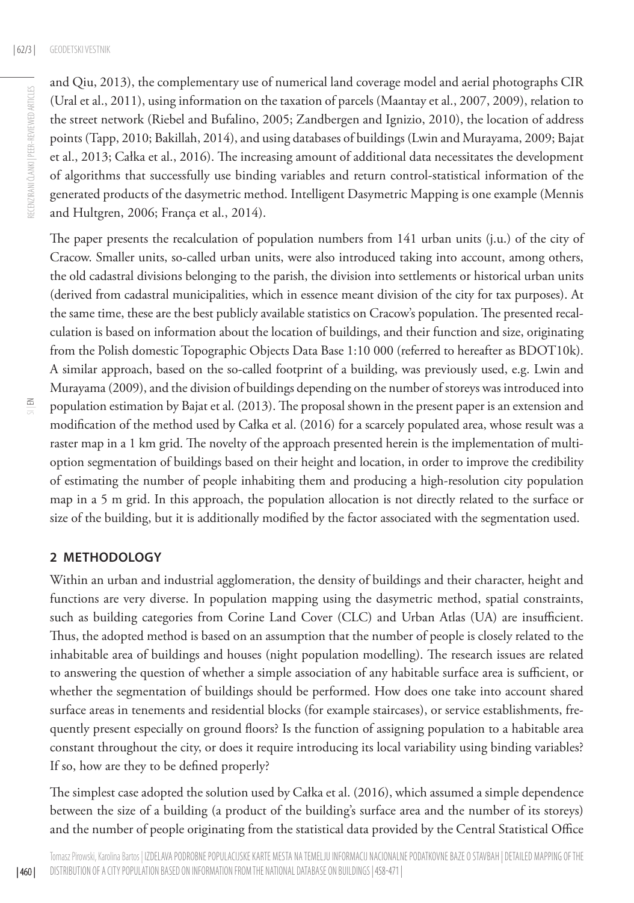and Qiu, 2013), the complementary use of numerical land coverage model and aerial photographs CIR (Ural et al., 2011), using information on the taxation of parcels (Maantay et al., 2007, 2009), relation to the street network (Riebel and Bufalino, 2005; Zandbergen and Ignizio, 2010), the location of address points (Tapp, 2010; Bakillah, 2014), and using databases of buildings (Lwin and Murayama, 2009; Bajat et al., 2013; Całka et al., 2016). The increasing amount of additional data necessitates the development of algorithms that successfully use binding variables and return control-statistical information of the generated products of the dasymetric method. Intelligent Dasymetric Mapping is one example (Mennis and Hultgren, 2006; França et al., 2014).

The paper presents the recalculation of population numbers from 141 urban units (j.u.) of the city of Cracow. Smaller units, so-called urban units, were also introduced taking into account, among others, the old cadastral divisions belonging to the parish, the division into settlements or historical urban units (derived from cadastral municipalities, which in essence meant division of the city for tax purposes). At the same time, these are the best publicly available statistics on Cracow's population. The presented recalculation is based on information about the location of buildings, and their function and size, originating from the Polish domestic Topographic Objects Data Base 1:10 000 (referred to hereafter as BDOT10k). A similar approach, based on the so-called footprint of a building, was previously used, e.g. Lwin and Murayama (2009), and the division of buildings depending on the number of storeys was introduced into population estimation by Bajat et al. (2013). The proposal shown in the present paper is an extension and modification of the method used by Całka et al. (2016) for a scarcely populated area, whose result was a raster map in a 1 km grid. The novelty of the approach presented herein is the implementation of multioption segmentation of buildings based on their height and location, in order to improve the credibility of estimating the number of people inhabiting them and producing a high-resolution city population map in a 5 m grid. In this approach, the population allocation is not directly related to the surface or size of the building, but it is additionally modified by the factor associated with the segmentation used.

#### **2 METHODOLOGY**

Within an urban and industrial agglomeration, the density of buildings and their character, height and functions are very diverse. In population mapping using the dasymetric method, spatial constraints, such as building categories from Corine Land Cover (CLC) and Urban Atlas (UA) are insufficient. Thus, the adopted method is based on an assumption that the number of people is closely related to the inhabitable area of buildings and houses (night population modelling). The research issues are related to answering the question of whether a simple association of any habitable surface area is sufficient, or whether the segmentation of buildings should be performed. How does one take into account shared surface areas in tenements and residential blocks (for example staircases), or service establishments, frequently present especially on ground floors? Is the function of assigning population to a habitable area constant throughout the city, or does it require introducing its local variability using binding variables? If so, how are they to be defined properly?

The simplest case adopted the solution used by Całka et al. (2016), which assumed a simple dependence between the size of a building (a product of the building's surface area and the number of its storeys) and the number of people originating from the statistical data provided by the Central Statistical Office

| 460 |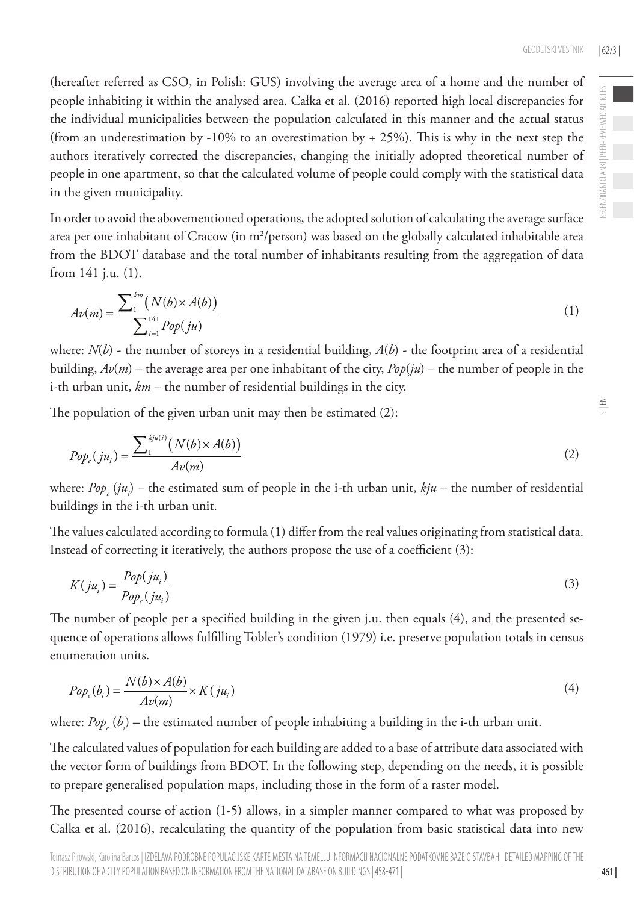(hereafter referred as CSO, in Polish: GUS) involving the average area of a home and the number of people inhabiting it within the analysed area. Całka et al. (2016) reported high local discrepancies for the individual municipalities between the population calculated in this manner and the actual status (from an underestimation by -10% to an overestimation by  $+ 25%$ ). This is why in the next step the authors iteratively corrected the discrepancies, changing the initially adopted theoretical number of people in one apartment, so that the calculated volume of people could comply with the statistical data in the given municipality.

In order to avoid the abovementioned operations, the adopted solution of calculating the average surface area per one inhabitant of Cracow (in m2 /person) was based on the globally calculated inhabitable area from the BDOT database and the total number of inhabitants resulting from the aggregation of data from 141 j.u. (1).

$$
Av(m) = \frac{\sum_{1}^{km} (N(b) \times A(b))}{\sum_{i=1}^{141} Pop(ju)}
$$
 (1)

where:  $N(b)$  - the number of storeys in a residential building,  $A(b)$  - the footprint area of a residential building,  $Av(m)$  – the average area per one inhabitant of the city,  $Pop(iu)$  – the number of people in the i-th urban unit, *km* – the number of residential buildings in the city.

The population of the given urban unit may then be estimated (2):

$$
Pop_{\varepsilon}(ju_i) = \frac{\sum_1^{kju(i)}(N(b)\times A(b))}{Av(m)}
$$
\n(2)

where: *Pop<sub>e</sub>* (*ju<sub>i</sub>*) – the estimated sum of people in the i-th urban unit, *kju* – the number of residential buildings in the i-th urban unit.

The values calculated according to formula (1) differ from the real values originating from statistical data. Instead of correcting it iteratively, the authors propose the use of a coefficient (3):

$$
K(ju_i) = \frac{Pop(ju_i)}{Pop_{\epsilon}(ju_i)}\tag{3}
$$

The number of people per a specified building in the given j.u. then equals (4), and the presented sequence of operations allows fulfilling Tobler's condition (1979) i.e. preserve population totals in census enumeration units.

$$
Pop_e(b_i) = \frac{N(b) \times A(b)}{Av(m)} \times K(ju_i)
$$
\n<sup>(4)</sup>

where: *Pop<sub>e</sub>* (*b<sub>i</sub>*) – the estimated number of people inhabiting a building in the i-th urban unit.

The calculated values of population for each building are added to a base of attribute data associated with the vector form of buildings from BDOT. In the following step, depending on the needs, it is possible to prepare generalised population maps, including those in the form of a raster model.

The presented course of action (1-5) allows, in a simpler manner compared to what was proposed by Całka et al. (2016), recalculating the quantity of the population from basic statistical data into new  $\leq$ 

| 461 |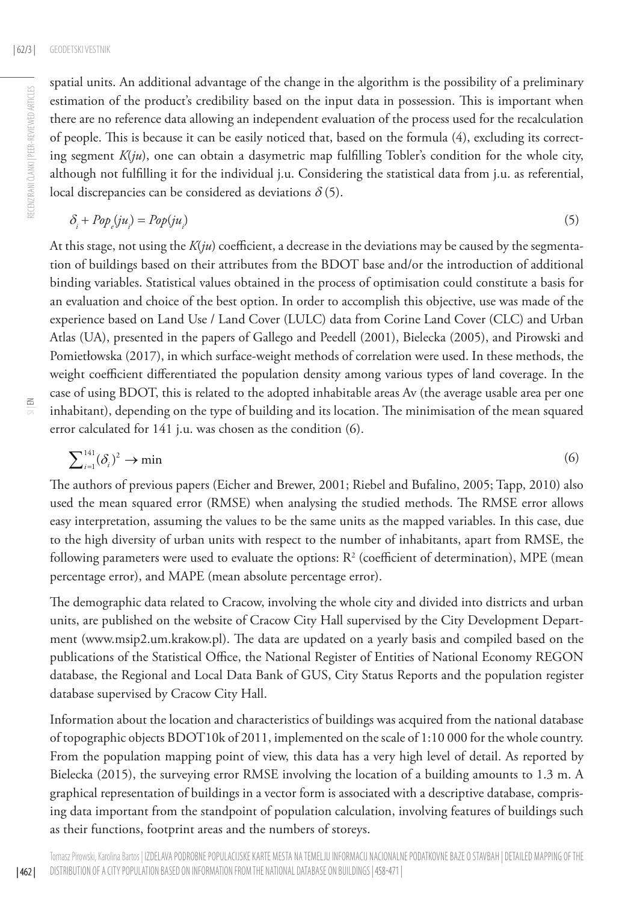RECENZIRANI ČLANKI | PEER-REVIEWED ARTICLES

RECENZIRANI ČLANKI | PEER-REVIEWED ARTICLES

spatial units. An additional advantage of the change in the algorithm is the possibility of a preliminary estimation of the product's credibility based on the input data in possession. This is important when there are no reference data allowing an independent evaluation of the process used for the recalculation of people. This is because it can be easily noticed that, based on the formula (4), excluding its correcting segment *K*(*ju*), one can obtain a dasymetric map fulfilling Tobler's condition for the whole city, although not fulfilling it for the individual j.u. Considering the statistical data from j.u. as referential, local discrepancies can be considered as deviations  $\delta$  (5).

$$
\delta_i + Pop_e(ju_i) = Pop(ju_i) \tag{5}
$$

At this stage, not using the  $K(ju)$  coefficient, a decrease in the deviations may be caused by the segmentation of buildings based on their attributes from the BDOT base and/or the introduction of additional binding variables. Statistical values obtained in the process of optimisation could constitute a basis for an evaluation and choice of the best option. In order to accomplish this objective, use was made of the experience based on Land Use / Land Cover (LULC) data from Corine Land Cover (CLC) and Urban Atlas (UA), presented in the papers of Gallego and Peedell (2001), Bielecka (2005), and Pirowski and Pomietłowska (2017), in which surface-weight methods of correlation were used. In these methods, the weight coefficient differentiated the population density among various types of land coverage. In the case of using BDOT, this is related to the adopted inhabitable areas Av (the average usable area per one inhabitant), depending on the type of building and its location. The minimisation of the mean squared error calculated for 141 j.u. was chosen as the condition (6).

$$
\sum_{i=1}^{141} (\delta_i)^2 \to \min \tag{6}
$$

The authors of previous papers (Eicher and Brewer, 2001; Riebel and Bufalino, 2005; Tapp, 2010) also used the mean squared error (RMSE) when analysing the studied methods. The RMSE error allows easy interpretation, assuming the values to be the same units as the mapped variables. In this case, due to the high diversity of urban units with respect to the number of inhabitants, apart from RMSE, the following parameters were used to evaluate the options:  $\mathbb{R}^2$  (coefficient of determination), MPE (mean percentage error), and MAPE (mean absolute percentage error).

The demographic data related to Cracow, involving the whole city and divided into districts and urban units, are published on the website of Cracow City Hall supervised by the City Development Department (www.msip2.um.krakow.pl). The data are updated on a yearly basis and compiled based on the publications of the Statistical Office, the National Register of Entities of National Economy REGON database, the Regional and Local Data Bank of GUS, City Status Reports and the population register database supervised by Cracow City Hall.

Information about the location and characteristics of buildings was acquired from the national database of topographic objects BDOT10k of 2011, implemented on the scale of 1:10 000 for the whole country. From the population mapping point of view, this data has a very high level of detail. As reported by Bielecka (2015), the surveying error RMSE involving the location of a building amounts to 1.3 m. A graphical representation of buildings in a vector form is associated with a descriptive database, comprising data important from the standpoint of population calculation, involving features of buildings such as their functions, footprint areas and the numbers of storeys.

| 462 |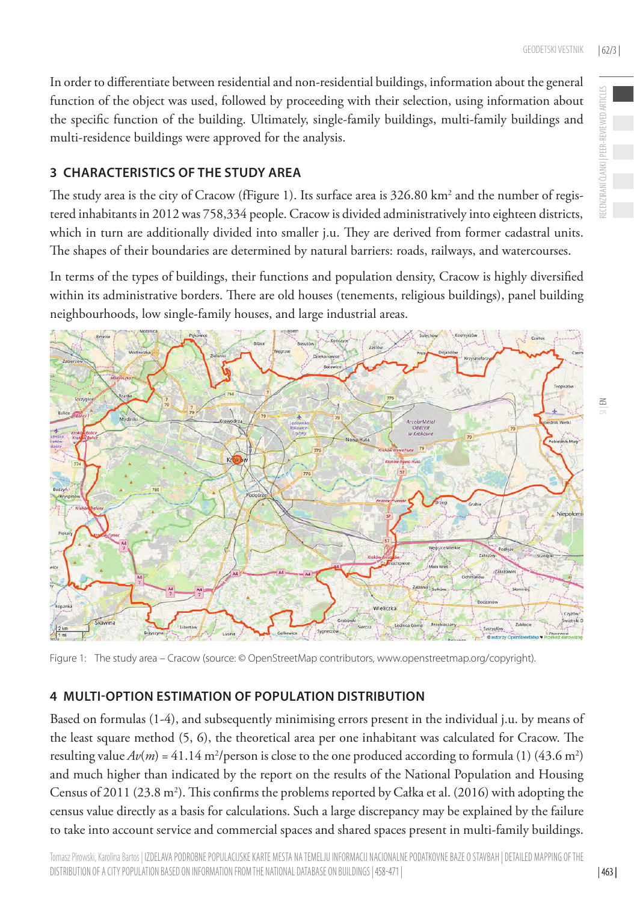In order to differentiate between residential and non-residential buildings, information about the general function of the object was used, followed by proceeding with their selection, using information about the specific function of the building. Ultimately, single-family buildings, multi-family buildings and multi-residence buildings were approved for the analysis.

#### **3 CHARACTERISTICS OF THE STUDY AREA**

The study area is the city of Cracow (fFigure 1). Its surface area is  $326.80 \mathrm{~km^2}$  and the number of registered inhabitants in 2012 was 758,334 people. Cracow is divided administratively into eighteen districts, which in turn are additionally divided into smaller j.u. They are derived from former cadastral units. The shapes of their boundaries are determined by natural barriers: roads, railways, and watercourses.

In terms of the types of buildings, their functions and population density, Cracow is highly diversified within its administrative borders. There are old houses (tenements, religious buildings), panel building neighbourhoods, low single-family houses, and large industrial areas.



Figure 1: The study area – Cracow (source: © OpenStreetMap contributors, www.openstreetmap.org/copyright).

### **4 MULTI-OPTION ESTIMATION OF POPULATION DISTRIBUTION**

Based on formulas (1-4), and subsequently minimising errors present in the individual j.u. by means of the least square method (5, 6), the theoretical area per one inhabitant was calculated for Cracow. The resulting value  $Av(m) = 41.14$  m<sup>2</sup>/person is close to the one produced according to formula (1) (43.6 m<sup>2</sup>) and much higher than indicated by the report on the results of the National Population and Housing Census of 2011 (23.8 m<sup>2</sup>). This confirms the problems reported by Całka et al. (2016) with adopting the census value directly as a basis for calculations. Such a large discrepancy may be explained by the failure to take into account service and commercial spaces and shared spaces present in multi-family buildings.

 $\leq$ 

| 463 |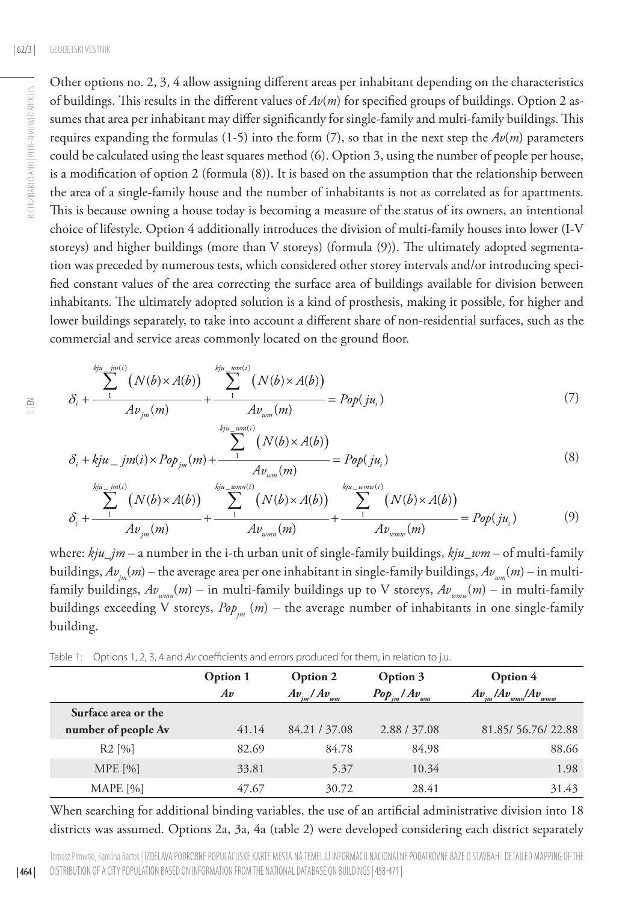Other options no. 2, 3, 4 allow assigning different areas per inhabitant depending on the characteristics of buildings. This results in the different values of *Av*(*m*) for specified groups of buildings. Option 2 assumes that area per inhabitant may differ significantly for single-family and multi-family buildings. This requires expanding the formulas (1-5) into the form  $(7)$ , so that in the next step the  $Av(m)$  parameters could be calculated using the least squares method (6). Option 3, using the number of people per house, is a modification of option 2 (formula (8)). It is based on the assumption that the relationship between the area of a single-family house and the number of inhabitants is not as correlated as for apartments. This is because owning a house today is becoming a measure of the status of its owners, an intentional choice of lifestyle. Option 4 additionally introduces the division of multi-family houses into lower (I-V storeys) and higher buildings (more than V storeys) (formula (9)). The ultimately adopted segmentation was preceded by numerous tests, which considered other storey intervals and/or introducing specified constant values of the area correcting the surface area of buildings available for division between inhabitants. The ultimately adopted solution is a kind of prosthesis, making it possible, for higher and lower buildings separately, to take into account a different share of non-residential surfaces, such as the commercial and service areas commonly located on the ground floor.

$$
\delta_{i} + \frac{\sum_{1}^{kju} \sum_{j=1}^{jm(i)} (N(b) \times A(b))}{Av_{jm}(m)} + \frac{\sum_{1}^{kju} \sum_{w=m(i)} (N(b) \times A(b))}{Av_{wm}(m)} = Pop(ju_{i})
$$
\n(7)

$$
\delta_i + kju \t jm(i) \times Pop_{jm}(m) + \frac{\sum_{j}^{kju} \sum_{u=m(i)}^{ucm(i)} (N(b) \times A(b))}{Av_{wm}(m)} = Pop(ju_i)
$$
\n(8)

$$
\delta_{i} + \frac{\sum_{1}^{kju - jm(i)} (N(b) \times A(b))}{Av_{jm}(m)} + \frac{\sum_{1}^{kju - wmn(i)} (N(b) \times A(b))}{Av_{wmm}(m)} + \frac{\sum_{1}^{kju - wmv(i)} (N(b) \times A(b))}{Av_{wmw}(m)} = Pop(ju_{i})
$$
(9)

where: *kju\_jm* – a number in the i-th urban unit of single-family buildings, *kju\_wm* – of multi-family buildings,  $Av_{im}(m)$  – the average area per one inhabitant in single-family buildings,  $Av_{im}(m)$  – in multifamily buildings,  $Av_{\text{num}}(m)$  – in multi-family buildings up to V storeys,  $Av_{\text{num}}(m)$  – in multi-family buildings exceeding V storeys,  $Pop_{\scriptscriptstyle{im}}$   $(m)$  – the average number of inhabitants in one single-family building.

Table 1: Options 1, 2, 3, 4 and *Av* coefficients and errors produced for them, in relation to j.u.

|                     | Option 1 | Option 2                                                | Option 3     | Option 4                                        |  |
|---------------------|----------|---------------------------------------------------------|--------------|-------------------------------------------------|--|
|                     | Av       | $Pop_{im}/Av_{u}$<br>$Av_{_{im}}/Av_{_{u}}$<br>vm<br>wm |              | $A\mathbf{v}$<br>$Av_{im}/Av_{u}$<br>wmw<br>wmn |  |
| Surface area or the |          |                                                         |              |                                                 |  |
| number of people Av | 41.14    | 84.21 / 37.08                                           | 2.88 / 37.08 | 81.85/ 56.76/ 22.88                             |  |
| R2 [%]              | 82.69    | 84.78                                                   | 84.98        | 88.66                                           |  |
| <b>MPE</b> [%]      | 33.81    | 5.37                                                    | 10.34        | 1.98                                            |  |
| MAPE <sup>[%]</sup> | 47.67    | 30.72                                                   | 28.41        | 31.43                                           |  |

When searching for additional binding variables, the use of an artificial administrative division into 18 districts was assumed. Options 2a, 3a, 4a (table 2) were developed considering each district separately

| 464 |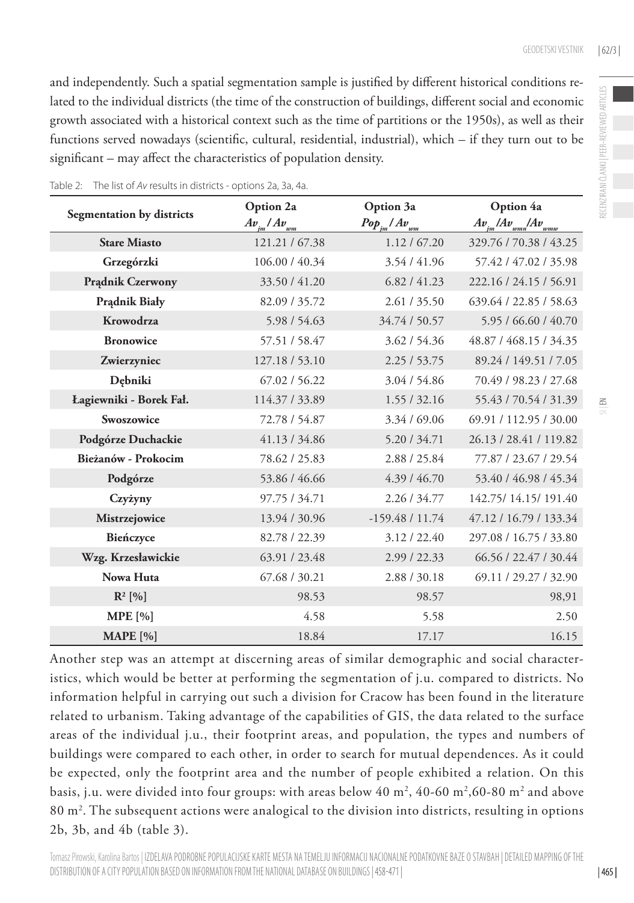and independently. Such a spatial segmentation sample is justified by different historical conditions related to the individual districts (the time of the construction of buildings, different social and economic growth associated with a historical context such as the time of partitions or the 1950s), as well as their functions served nowadays (scientific, cultural, residential, industrial), which – if they turn out to be significant – may affect the characteristics of population density.

|                           | Option 2a               | Option 3a          | Option 4a                            |  |
|---------------------------|-------------------------|--------------------|--------------------------------------|--|
| Segmentation by districts | $Av_{\mu m}/Av_{\mu m}$ | $Pop_{im}/Av_{wm}$ | $Av_{_{im}}/Av_{_{wmn}}/Av_{_{wmw}}$ |  |
| <b>Stare Miasto</b>       | 121.21 / 67.38          | 1.12 / 67.20       | 329.76 / 70.38 / 43.25               |  |
| Grzegórzki                | 106.00 / 40.34          | 3.54/41.96         | 57.42 / 47.02 / 35.98                |  |
| <b>Pradnik Czerwony</b>   | 33.50 / 41.20           | 6.82 / 41.23       | 222.16 / 24.15 / 56.91               |  |
| <b>Pradnik Biały</b>      | 82.09 / 35.72           | 2.61 / 35.50       | 639.64 / 22.85 / 58.63               |  |
| Krowodrza                 | 5.98 / 54.63            | 34.74 / 50.57      | 5.95 / 66.60 / 40.70                 |  |
| <b>Bronowice</b>          | 57.51 / 58.47           | 3.62 / 54.36       | 48.87 / 468.15 / 34.35               |  |
| Zwierzyniec               | 127.18 / 53.10          | 2.25/53.75         | 89.24 / 149.51 / 7.05                |  |
| Debniki                   | 67.02 / 56.22           | 3.04 / 54.86       | 70.49 / 98.23 / 27.68                |  |
| Łagiewniki - Borek Fał.   | 114.37 / 33.89          | 1.55/32.16         | 55.43 / 70.54 / 31.39                |  |
| Swoszowice                | 72.78 / 54.87           | 3.34 / 69.06       | 69.91 / 112.95 / 30.00               |  |
| Podgórze Duchackie        | 41.13 / 34.86           | 5.20 / 34.71       | 26.13 / 28.41 / 119.82               |  |
| Bieżanów - Prokocim       | 78.62 / 25.83           | 2.88 / 25.84       | 77.87 / 23.67 / 29.54                |  |
| Podgórze                  | 53.86 / 46.66           | 4.39 / 46.70       | 53.40 / 46.98 / 45.34                |  |
| Czyżyny                   | 97.75 / 34.71           | 2.26 / 34.77       | 142.75/14.15/191.40                  |  |
| Mistrzejowice             | 13.94 / 30.96           | $-159.48/11.74$    | 47.12 / 16.79 / 133.34               |  |
| Bieńczyce                 | 82.78 / 22.39           | 3.12 / 22.40       | 297.08 / 16.75 / 33.80               |  |
| Wzg. Krzesławickie        | 63.91 / 23.48           | 2.99/22.33         | 66.56 / 22.47 / 30.44                |  |
| Nowa Huta                 | 67.68 / 30.21           | 2.88 / 30.18       | 69.11 / 29.27 / 32.90                |  |
| $R^2$ [%]                 | 98.53                   | 98.57              | 98,91                                |  |
| MPE [%]                   | 4.58                    | 5.58               | 2.50                                 |  |
| <b>MAPE</b> [%]           | 18.84                   | 17.17              | 16.15                                |  |

Table 2: The list of *Av* results in districts - options 2a, 3a, 4a.

Another step was an attempt at discerning areas of similar demographic and social characteristics, which would be better at performing the segmentation of j.u. compared to districts. No information helpful in carrying out such a division for Cracow has been found in the literature related to urbanism. Taking advantage of the capabilities of GIS, the data related to the surface areas of the individual j.u., their footprint areas, and population, the types and numbers of buildings were compared to each other, in order to search for mutual dependences. As it could be expected, only the footprint area and the number of people exhibited a relation. On this basis, j.u. were divided into four groups: with areas below  $40 \text{ m}^2$ ,  $40\text{ -}60 \text{ m}^2$ ,60-80  $\text{m}^2$  and above 80 m2 . The subsequent actions were analogical to the division into districts, resulting in options 2b, 3b, and 4b (table 3).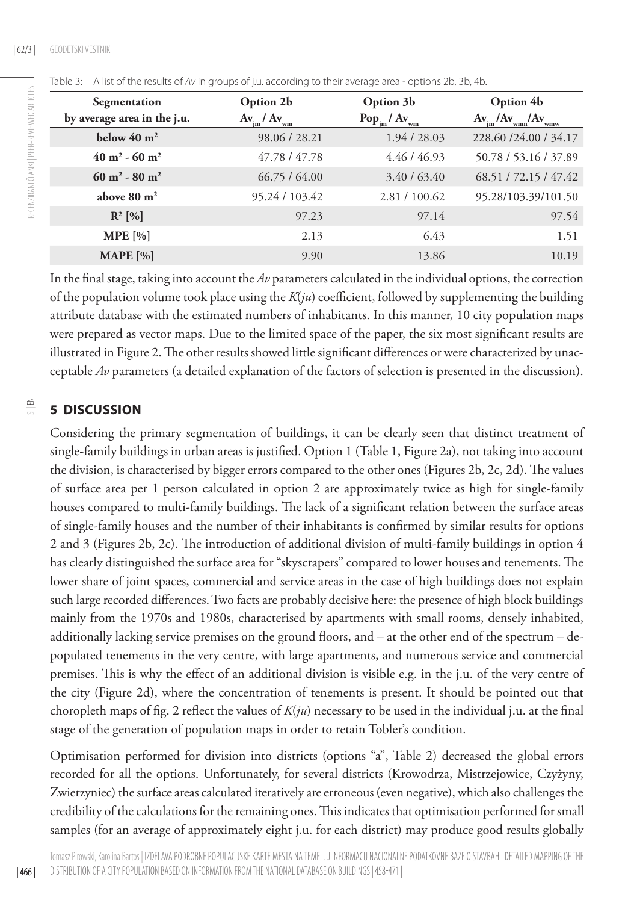| Segmentation                         | Option 2b                       | Option 3b                  | Option 4b                                     |  |  |
|--------------------------------------|---------------------------------|----------------------------|-----------------------------------------------|--|--|
| by average area in the j.u.          | $Av_{\text{im}}/Av_{\text{wm}}$ | $Pop_{\rm im}/Ay_{\rm wm}$ | $Av_{\mu} / Av_{\text{wm}} / Av_{\text{wmw}}$ |  |  |
| below $40 \text{ m}^2$               | 98.06 / 28.21                   | 1.94 / 28.03               | 228.60 / 24.00 / 34.17                        |  |  |
| $40 \text{ m}^2$ - 60 m <sup>2</sup> | 47.78 / 47.78                   | 4.46 / 46.93               | 50.78 / 53.16 / 37.89                         |  |  |
| $60 \text{ m}^2 - 80 \text{ m}^2$    | 66.75/64.00                     | 3.40 / 63.40               | 68.51 / 72.15 / 47.42                         |  |  |
| above $80 \text{ m}^2$               | 95.24 / 103.42                  | 2.81 / 100.62              | 95.28/103.39/101.50                           |  |  |
| $R^2$ [%]                            | 97.23                           | 97.14                      | 97.54                                         |  |  |
| $MPE$ [%]                            | 2.13                            | 6.43                       | 1.51                                          |  |  |
| <b>MAPE</b> [%]                      | 9.90                            | 13.86                      | 10.19                                         |  |  |

|  | Table 3: A list of the results of Av in groups of j.u. according to their average area - options 2b, 3b, 4b. |  |  |  |  |  |  |
|--|--------------------------------------------------------------------------------------------------------------|--|--|--|--|--|--|
|--|--------------------------------------------------------------------------------------------------------------|--|--|--|--|--|--|

In the final stage, taking into account the *Av* parameters calculated in the individual options, the correction of the population volume took place using the *K*(*ju*) coefficient, followed by supplementing the building attribute database with the estimated numbers of inhabitants. In this manner, 10 city population maps were prepared as vector maps. Due to the limited space of the paper, the six most significant results are illustrated in Figure 2. The other results showed little significant differences or were characterized by unacceptable *Av* parameters (a detailed explanation of the factors of selection is presented in the discussion).

#### $\frac{6}{5}$ **5 DISCUSSION**

Considering the primary segmentation of buildings, it can be clearly seen that distinct treatment of single-family buildings in urban areas is justified. Option 1 (Table 1, Figure 2a), not taking into account the division, is characterised by bigger errors compared to the other ones (Figures 2b, 2c, 2d). The values of surface area per 1 person calculated in option 2 are approximately twice as high for single-family houses compared to multi-family buildings. The lack of a significant relation between the surface areas of single-family houses and the number of their inhabitants is confirmed by similar results for options 2 and 3 (Figures 2b, 2c). The introduction of additional division of multi-family buildings in option 4 has clearly distinguished the surface area for "skyscrapers" compared to lower houses and tenements. The lower share of joint spaces, commercial and service areas in the case of high buildings does not explain such large recorded differences. Two facts are probably decisive here: the presence of high block buildings mainly from the 1970s and 1980s, characterised by apartments with small rooms, densely inhabited, additionally lacking service premises on the ground floors, and – at the other end of the spectrum – depopulated tenements in the very centre, with large apartments, and numerous service and commercial premises. This is why the effect of an additional division is visible e.g. in the j.u. of the very centre of the city (Figure 2d), where the concentration of tenements is present. It should be pointed out that choropleth maps of fig. 2 reflect the values of *K*(*ju*) necessary to be used in the individual j.u. at the final stage of the generation of population maps in order to retain Tobler's condition.

Optimisation performed for division into districts (options "a", Table 2) decreased the global errors recorded for all the options. Unfortunately, for several districts (Krowodrza, Mistrzejowice, Czyżyny, Zwierzyniec) the surface areas calculated iteratively are erroneous (even negative), which also challenges the credibility of the calculations for the remaining ones. This indicates that optimisation performed for small samples (for an average of approximately eight j.u. for each district) may produce good results globally

| 466 |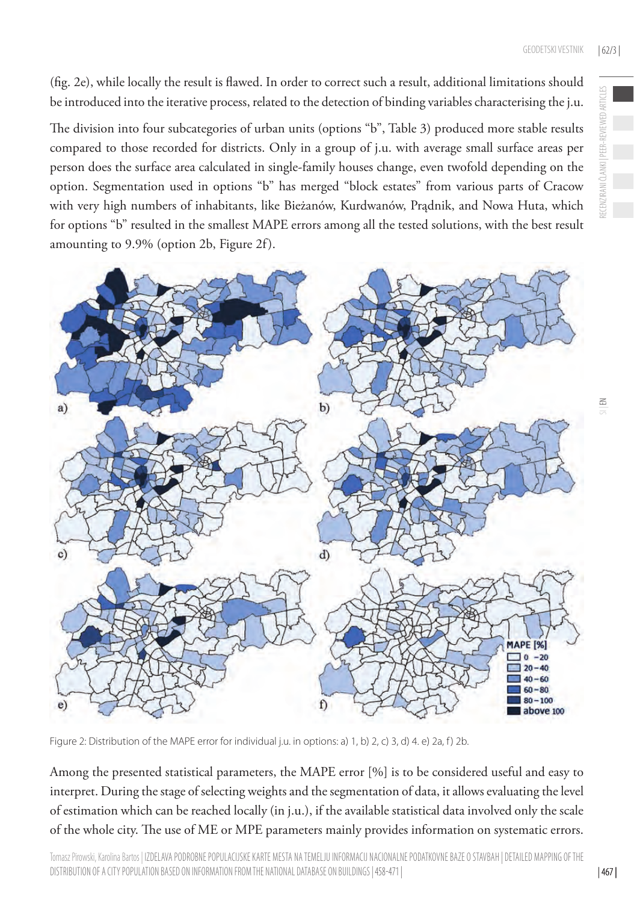(fig. 2e), while locally the result is flawed. In order to correct such a result, additional limitations should be introduced into the iterative process, related to the detection of binding variables characterising the j.u.

The division into four subcategories of urban units (options "b", Table 3) produced more stable results compared to those recorded for districts. Only in a group of j.u. with average small surface areas per person does the surface area calculated in single-family houses change, even twofold depending on the option. Segmentation used in options "b" has merged "block estates" from various parts of Cracow with very high numbers of inhabitants, like Bieżanów, Kurdwanów, Prądnik, and Nowa Huta, which for options "b" resulted in the smallest MAPE errors among all the tested solutions, with the best result amounting to 9.9% (option 2b, Figure 2f).



Figure 2: Distribution of the MAPE error for individual j.u. in options: a) 1, b) 2, c) 3, d) 4. e) 2a, f) 2b.

Among the presented statistical parameters, the MAPE error [%] is to be considered useful and easy to interpret. During the stage of selecting weights and the segmentation of data, it allows evaluating the level of estimation which can be reached locally (in j.u.), if the available statistical data involved only the scale of the whole city. The use of ME or MPE parameters mainly provides information on systematic errors. RECENZIRANI ČLANKI | PEER-REVIEWED ARTICLES

**ER-REVIEWED**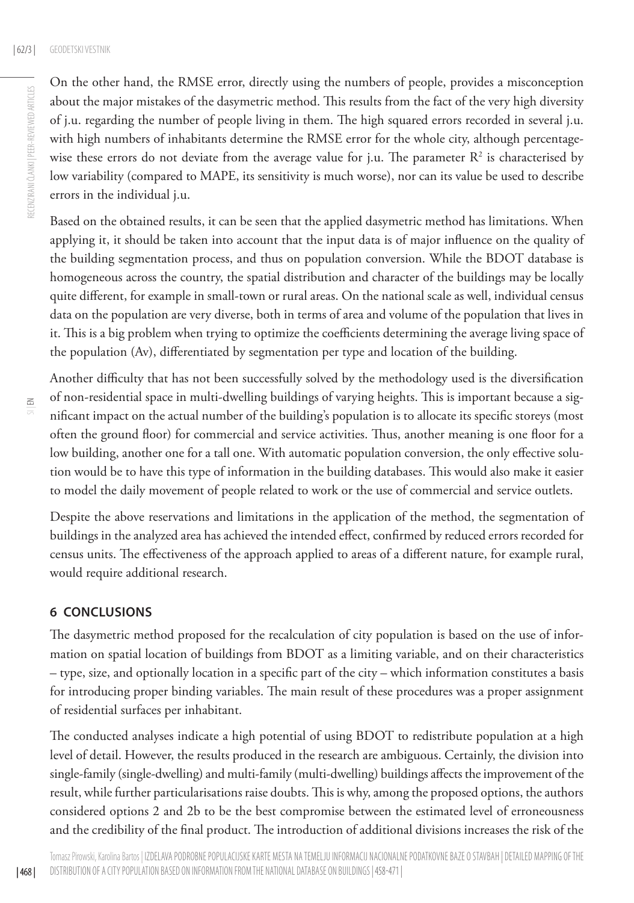On the other hand, the RMSE error, directly using the numbers of people, provides a misconception about the major mistakes of the dasymetric method. This results from the fact of the very high diversity of j.u. regarding the number of people living in them. The high squared errors recorded in several j.u. with high numbers of inhabitants determine the RMSE error for the whole city, although percentagewise these errors do not deviate from the average value for j.u. The parameter  $R^2$  is characterised by low variability (compared to MAPE, its sensitivity is much worse), nor can its value be used to describe errors in the individual j.u.

Based on the obtained results, it can be seen that the applied dasymetric method has limitations. When applying it, it should be taken into account that the input data is of major influence on the quality of the building segmentation process, and thus on population conversion. While the BDOT database is homogeneous across the country, the spatial distribution and character of the buildings may be locally quite different, for example in small-town or rural areas. On the national scale as well, individual census data on the population are very diverse, both in terms of area and volume of the population that lives in it. This is a big problem when trying to optimize the coefficients determining the average living space of the population (Av), differentiated by segmentation per type and location of the building.

| 468 |

Another difficulty that has not been successfully solved by the methodology used is the diversification of non-residential space in multi-dwelling buildings of varying heights. This is important because a significant impact on the actual number of the building's population is to allocate its specific storeys (most often the ground floor) for commercial and service activities. Thus, another meaning is one floor for a low building, another one for a tall one. With automatic population conversion, the only effective solution would be to have this type of information in the building databases. This would also make it easier to model the daily movement of people related to work or the use of commercial and service outlets.

Despite the above reservations and limitations in the application of the method, the segmentation of buildings in the analyzed area has achieved the intended effect, confirmed by reduced errors recorded for census units. The effectiveness of the approach applied to areas of a different nature, for example rural, would require additional research.

#### **6 CONCLUSIONS**

The dasymetric method proposed for the recalculation of city population is based on the use of information on spatial location of buildings from BDOT as a limiting variable, and on their characteristics – type, size, and optionally location in a specific part of the city – which information constitutes a basis for introducing proper binding variables. The main result of these procedures was a proper assignment of residential surfaces per inhabitant.

The conducted analyses indicate a high potential of using BDOT to redistribute population at a high level of detail. However, the results produced in the research are ambiguous. Certainly, the division into single-family (single-dwelling) and multi-family (multi-dwelling) buildings affects the improvement of the result, while further particularisations raise doubts. This is why, among the proposed options, the authors considered options 2 and 2b to be the best compromise between the estimated level of erroneousness and the credibility of the final product. The introduction of additional divisions increases the risk of the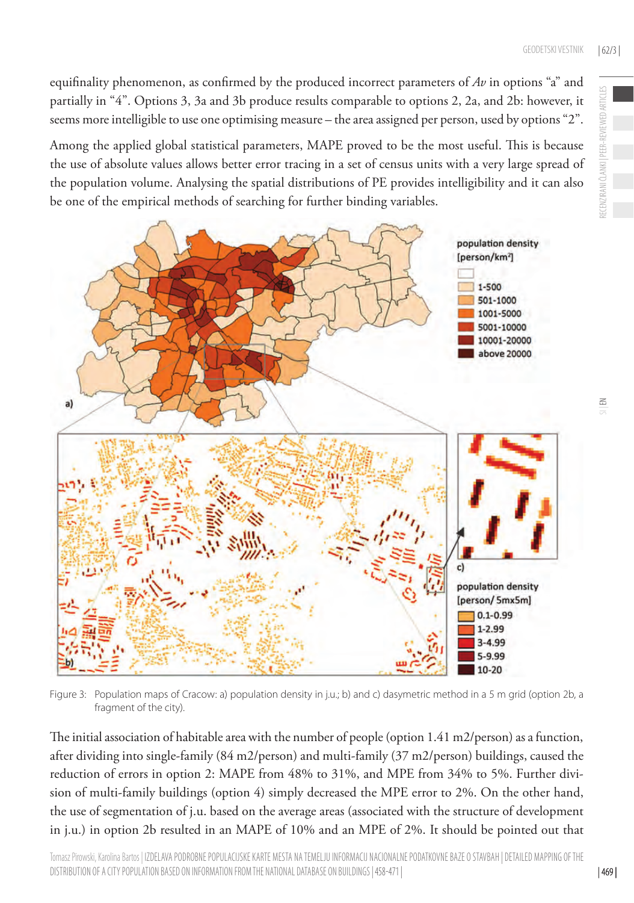equifinality phenomenon, as confirmed by the produced incorrect parameters of *Av* in options "a" and partially in "4". Options 3, 3a and 3b produce results comparable to options 2, 2a, and 2b: however, it seems more intelligible to use one optimising measure – the area assigned per person, used by options "2".

Among the applied global statistical parameters, MAPE proved to be the most useful. This is because the use of absolute values allows better error tracing in a set of census units with a very large spread of the population volume. Analysing the spatial distributions of PE provides intelligibility and it can also be one of the empirical methods of searching for further binding variables.



Figure 3: Population maps of Cracow: a) population density in j.u.; b) and c) dasymetric method in a 5 m grid (option 2b, a fragment of the city).

The initial association of habitable area with the number of people (option 1.41 m2/person) as a function, after dividing into single-family (84 m2/person) and multi-family (37 m2/person) buildings, caused the reduction of errors in option 2: MAPE from 48% to 31%, and MPE from 34% to 5%. Further division of multi-family buildings (option 4) simply decreased the MPE error to 2%. On the other hand, the use of segmentation of j.u. based on the average areas (associated with the structure of development in j.u.) in option 2b resulted in an MAPE of 10% and an MPE of 2%. It should be pointed out that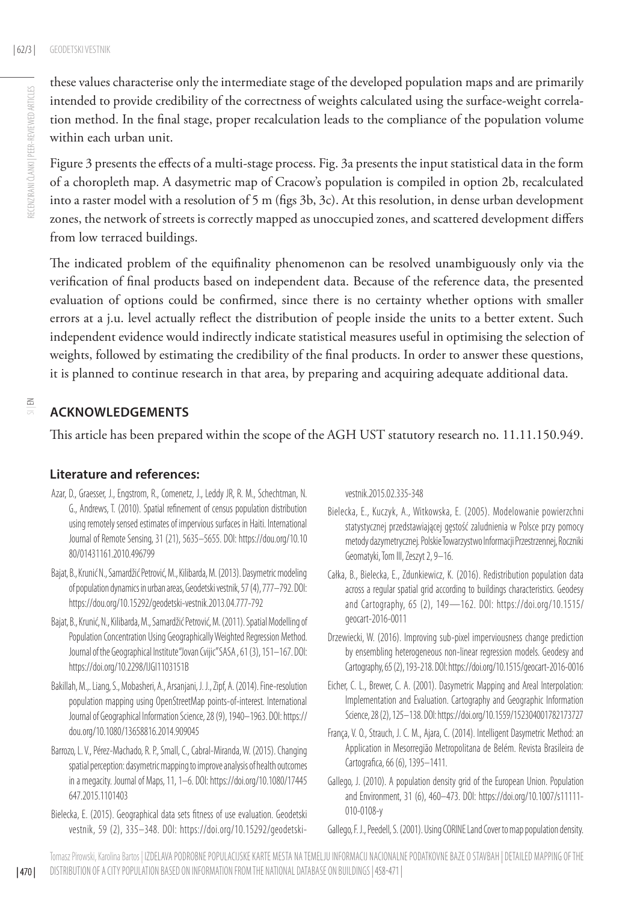these values characterise only the intermediate stage of the developed population maps and are primarily intended to provide credibility of the correctness of weights calculated using the surface-weight correlation method. In the final stage, proper recalculation leads to the compliance of the population volume within each urban unit.

Figure 3 presents the effects of a multi-stage process. Fig. 3a presents the input statistical data in the form of a choropleth map. A dasymetric map of Cracow's population is compiled in option 2b, recalculated into a raster model with a resolution of 5 m (figs 3b, 3c). At this resolution, in dense urban development zones, the network of streets is correctly mapped as unoccupied zones, and scattered development differs from low terraced buildings.

The indicated problem of the equifinality phenomenon can be resolved unambiguously only via the verification of final products based on independent data. Because of the reference data, the presented evaluation of options could be confirmed, since there is no certainty whether options with smaller errors at a j.u. level actually reflect the distribution of people inside the units to a better extent. Such independent evidence would indirectly indicate statistical measures useful in optimising the selection of weights, followed by estimating the credibility of the final products. In order to answer these questions, it is planned to continue research in that area, by preparing and acquiring adequate additional data.

## $\leq$

## **ACKNOWLEDGEMENTS**

This article has been prepared within the scope of the AGH UST statutory research no. 11.11.150.949.

### **Literature and references:**

- Azar, D., Graesser, J., Engstrom, R., Comenetz, J., Leddy JR, R. M., Schechtman, N. G., Andrews, T. (2010). Spatial refinement of census population distribution using remotely sensed estimates of impervious surfaces in Haiti. International Journal of Remote Sensing, 31 (21), 5635–5655. DOI: [https://dou.org/10.10](https://dou.org/10.1080/01431161.2010.496799) [80/01431161.2010.496799](https://dou.org/10.1080/01431161.2010.496799)
- Bajat, B., Krunić N., Samardžić Petrović, M., Kilibarda, M. (2013). Dasymetric modeling of population dynamics in urban areas, Geodetski vestnik, 57 (4), 777–792. DOI: <https://dou.org/10.15292/geodetski-vestnik.2013.04.777-792>
- Bajat, B., Krunić, N., Kilibarda, M., Samardžić Petrović, M. (2011). Spatial Modelling of Population Concentration Using Geographically Weighted Regression Method. Journal of the Geographical Institute "Jovan Cvijic" SASA , 61 (3), 151–167. DOI: <https://doi.org/10.2298/IJGI1103151B>
- Bakillah, M.,. Liang, S., Mobasheri, A., Arsanjani, J. J., Zipf, A. (2014). Fine-resolution population mapping using OpenStreetMap points-of-interest. International Journal of Geographical Information Science, 28 (9), 1940–1963. DOI: [https://](https://dou.org/10.1080/13658816.2014.909045) [dou.org/10.1080/13658816.2014.909045](https://dou.org/10.1080/13658816.2014.909045)
- Barrozo, L. V., Pérez-Machado, R. P., Small, C., Cabral-Miranda, W. (2015). Changing spatial perception: dasymetric mapping to improve analysis of health outcomes in a megacity. Journal of Maps, 11, 1–6. DOI: [https://doi.org/10.1080/17445](https://doi.org/10.1080/17445647.2015.1101403) [647.2015.1101403](https://doi.org/10.1080/17445647.2015.1101403)
- Bielecka, E. (2015). Geographical data sets fitness of use evaluation. Geodetski vestnik, 59 (2), 335–348. DOI: [https://doi.org/10.15292/geodetski-](https://doi.org/10.15292/geodetski-vestnik.2015.02.335-348)

[vestnik.2015.02.335-348](https://doi.org/10.15292/geodetski-vestnik.2015.02.335-348)

- Bielecka, E., Kuczyk, A., Witkowska, E. (2005). Modelowanie powierzchni statystycznej przedstawiającej gęstość zaludnienia w Polsce przy pomocy metody dazymetrycznej. Polskie Towarzystwo Informacji Przestrzennej, Roczniki Geomatyki, Tom III, Zeszyt 2, 9–16.
- Całka, B., Bielecka, E., Zdunkiewicz, K. (2016). Redistribution population data across a regular spatial grid according to buildings characteristics. Geodesy and Cartography, 65 (2), 149—162. DOI: [https://doi.org/10.1515/](https://doi.org/10.1515/geocart-2016-0011) [geocart-2016-0011](https://doi.org/10.1515/geocart-2016-0011)
- Drzewiecki, W. (2016). Improving sub-pixel imperviousness change prediction by ensembling heterogeneous non-linear regression models. Geodesy and Cartography, 65 (2), 193-218. DOI:<https://doi.org/10.1515/geocart-2016-0016>
- Eicher, C. L., Brewer, C. A. (2001). Dasymetric Mapping and Areal Interpolation: Implementation and Evaluation. Cartography and Geographic Information Science, 28 (2), 125–138. DOI:<https://doi.org/10.1559/152304001782173727>
- França, V. O., Strauch, J. C. M., Ajara, C. (2014). Intelligent Dasymetric Method: an Application in Mesorregião Metropolitana de Belém. Revista Brasileira de Cartografica, 66 (6), 1395–1411.
- Gallego, J. (2010). A population density grid of the European Union. Population and Environment, 31 (6), 460–473. DOI: [https://doi.org/10.1007/s11111-](https://doi.org/10.1007/s11111-010-0108-y  ) [010-0108-y](https://doi.org/10.1007/s11111-010-0108-y  )

Gallego, F. J., Peedell, S. (2001). Using CORINE Land Cover to map population density.